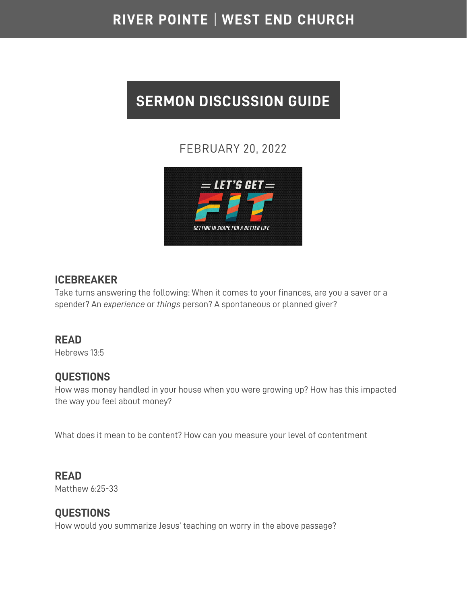# RIVER POINTE | WEST END CHURCH

# **SERMON DISCUSSION GUIDE**

# FEBRUARY 20, 2022



#### **ICEBREAKER**

Take turns answering the following: When it comes to your finances, are you a saver or a spender? An *experience* or *things* person? A spontaneous or planned giver?

#### **READ**

Hebrews 13:5

#### **QUESTIONS**

How was money handled in your house when you were growing up? How has this impacted the way you feel about money?

What does it mean to be content? How can you measure your level of contentment

#### **READ**

Matthew 6:25-33

### **QUESTIONS**

How would you summarize Jesus' teaching on worry in the above passage?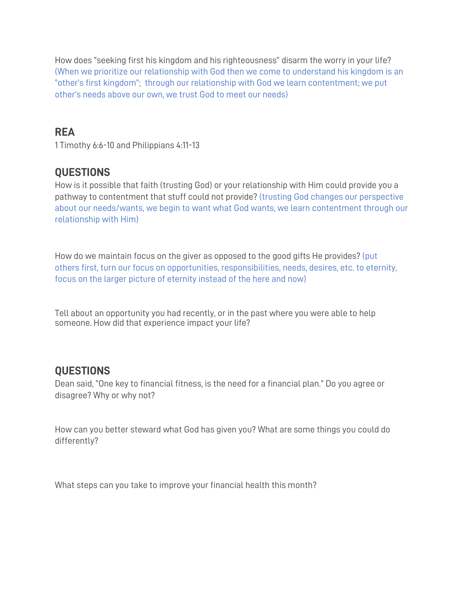How does "seeking first his kingdom and his righteousness" disarm the worry in your life? (When we prioritize our relationship with God then we come to understand his kingdom is an "other's first kingdom"; through our relationship with God we learn contentment; we put other's needs above our own, we trust God to meet our needs)

#### **REA**

1 Timothy 6:6-10 and Philippians 4:11-13

### **QUESTIONS**

How is it possible that faith (trusting God) or your relationship with Him could provide you a pathway to contentment that stuff could not provide? (trusting God changes our perspective about our needs/wants, we begin to want what God wants, we learn contentment through our relationship with Him)

How do we maintain focus on the giver as opposed to the good gifts He provides? (put others first, turn our focus on opportunities, responsibilities, needs, desires, etc. to eternity, focus on the larger picture of eternity instead of the here and now)

Tell about an opportunity you had recently, or in the past where you were able to help someone. How did that experience impact your life?

## **QUESTIONS**

Dean said, "One key to financial fitness, is the need for a financial plan." Do you agree or disagree? Why or why not?

How can you better steward what God has given you? What are some things you could do differently?

What steps can you take to improve your financial health this month?